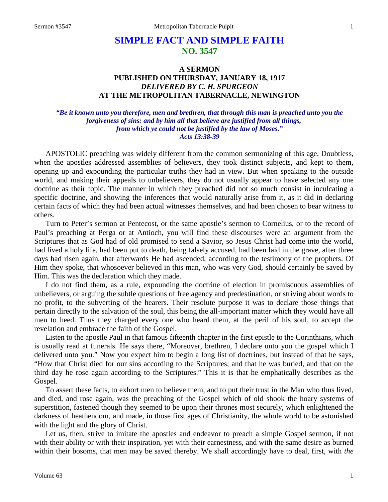# **SIMPLE FACT AND SIMPLE FAITH NO. 3547**

## **A SERMON PUBLISHED ON THURSDAY, JANUARY 18, 1917** *DELIVERED BY C. H. SPURGEON* **AT THE METROPOLITAN TABERNACLE, NEWINGTON**

## *"Be it known unto you therefore, men and brethren, that through this man is preached unto you the forgiveness of sins: and by him all that believe are justified from all things, from which ye could not be justified by the law of Moses." Acts 13:38-39*

APOSTOLIC preaching was widely different from the common sermonizing of this age. Doubtless, when the apostles addressed assemblies of believers, they took distinct subjects, and kept to them, opening up and expounding the particular truths they had in view. But when speaking to the outside world, and making their appeals to unbelievers, they do not usually appear to have selected any one doctrine as their topic. The manner in which they preached did not so much consist in inculcating a specific doctrine, and showing the inferences that would naturally arise from it, as it did in declaring certain facts of which they had been actual witnesses themselves, and had been chosen to bear witness to others.

Turn to Peter's sermon at Pentecost, or the same apostle's sermon to Cornelius, or to the record of Paul's preaching at Perga or at Antioch, you will find these discourses were an argument from the Scriptures that as God had of old promised to send a Savior, so Jesus Christ had come into the world, had lived a holy life, had been put to death, being falsely accused, had been laid in the grave, after three days had risen again, that afterwards He had ascended, according to the testimony of the prophets. Of Him they spoke, that whosoever believed in this man, who was very God, should certainly be saved by Him. This was the declaration which they made.

I do not find them, as a rule, expounding the doctrine of election in promiscuous assemblies of unbelievers, or arguing the subtle questions of free agency and predestination, or striving about words to no profit, to the subverting of the hearers. Their resolute purpose it was to declare those things that pertain directly to the salvation of the soul, this being the all-important matter which they would have all men to heed. Thus they charged every one who heard them, at the peril of his soul, to accept the revelation and embrace the faith of the Gospel.

Listen to the apostle Paul in that famous fifteenth chapter in the first epistle to the Corinthians, which is usually read at funerals. He says there, "Moreover, brethren, I declare unto you the gospel which I delivered unto you." Now you expect him to begin a long list of doctrines, but instead of that he says, "How that Christ died for our sins according to the Scriptures; and that he was buried, and that on the third day he rose again according to the Scriptures." This it is that he emphatically describes as the Gospel.

To assert these facts, to exhort men to believe them, and to put their trust in the Man who thus lived, and died, and rose again, was the preaching of the Gospel which of old shook the hoary systems of superstition, fastened though they seemed to be upon their thrones most securely, which enlightened the darkness of heathendom, and made, in those first ages of Christianity, the whole world to be astonished with the light and the glory of Christ.

Let us, then, strive to imitate the apostles and endeavor to preach a simple Gospel sermon, if not with their ability or with their inspiration, yet with their earnestness, and with the same desire as burned within their bosoms, that men may be saved thereby. We shall accordingly have to deal, first, with *the*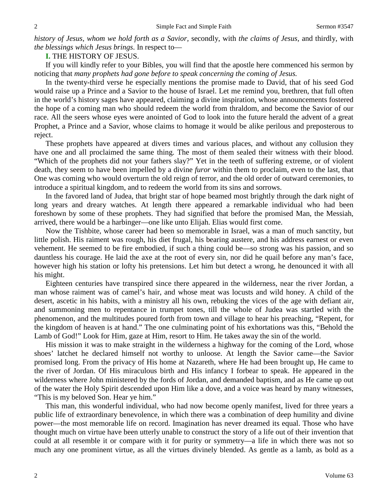*history of Jesus, whom we hold forth as a Savior,* secondly, with *the claims of Jesus,* and thirdly, with *the blessings which Jesus brings*. In respect to—

**I.** THE HISTORY OF JESUS.

If you will kindly refer to your Bibles, you will find that the apostle here commenced his sermon by noticing that *many prophets had gone before to speak concerning the coming of Jesus.*

In the twenty-third verse he especially mentions the promise made to David, that of his seed God would raise up a Prince and a Savior to the house of Israel. Let me remind you, brethren, that full often in the world's history sages have appeared, claiming a divine inspiration, whose announcements fostered the hope of a coming man who should redeem the world from thraldom, and become the Savior of our race. All the seers whose eyes were anointed of God to look into the future herald the advent of a great Prophet, a Prince and a Savior, whose claims to homage it would be alike perilous and preposterous to reject.

These prophets have appeared at divers times and various places, and without any collusion they have one and all proclaimed the same thing. The most of them sealed their witness with their blood. "Which of the prophets did not your fathers slay?" Yet in the teeth of suffering extreme, or of violent death, they seem to have been impelled by a divine *furor* within them to proclaim, even to the last, that One was coming who would overturn the old reign of terror, and the old order of outward ceremonies, to introduce a spiritual kingdom, and to redeem the world from its sins and sorrows.

In the favored land of Judea, that bright star of hope beamed most brightly through the dark night of long years and dreary watches. At length there appeared a remarkable individual who had been foreshown by some of these prophets. They had signified that before the promised Man, the Messiah, arrived, there would be a harbinger—one like unto Elijah. Elias would first come.

Now the Tishbite, whose career had been so memorable in Israel, was a man of much sanctity, but little polish. His raiment was rough, his diet frugal, his bearing austere, and his address earnest or even vehement. He seemed to be fire embodied, if such a thing could be—so strong was his passion, and so dauntless his courage. He laid the axe at the root of every sin, nor did he quail before any man's face, however high his station or lofty his pretensions. Let him but detect a wrong, he denounced it with all his might.

Eighteen centuries have transpired since there appeared in the wilderness, near the river Jordan, a man whose raiment was of camel's hair, and whose meat was locusts and wild honey. A child of the desert, ascetic in his habits, with a ministry all his own, rebuking the vices of the age with defiant air, and summoning men to repentance in trumpet tones, till the whole of Judea was startled with the phenomenon, and the multitudes poured forth from town and village to hear his preaching, "Repent, for the kingdom of heaven is at hand." The one culminating point of his exhortations was this, "Behold the Lamb of God!" Look for Him, gaze at Him, resort to Him. He takes away the sin of the world.

His mission it was to make straight in the wilderness a highway for the coming of the Lord, whose shoes' latchet he declared himself not worthy to unloose. At length the Savior came—the Savior promised long. From the privacy of His home at Nazareth, where He had been brought up, He came to the river of Jordan. Of His miraculous birth and His infancy I forbear to speak. He appeared in the wilderness where John ministered by the fords of Jordan, and demanded baptism, and as He came up out of the water the Holy Spirit descended upon Him like a dove, and a voice was heard by many witnesses, "This is my beloved Son. Hear ye him."

This man, this wonderful individual, who had now become openly manifest, lived for three years a public life of extraordinary benevolence, in which there was a combination of deep humility and divine power—the most memorable life on record. Imagination has never dreamed its equal. Those who have thought much on virtue have been utterly unable to construct the story of a life out of their invention that could at all resemble it or compare with it for purity or symmetry—a life in which there was not so much any one prominent virtue, as all the virtues divinely blended. As gentle as a lamb, as bold as a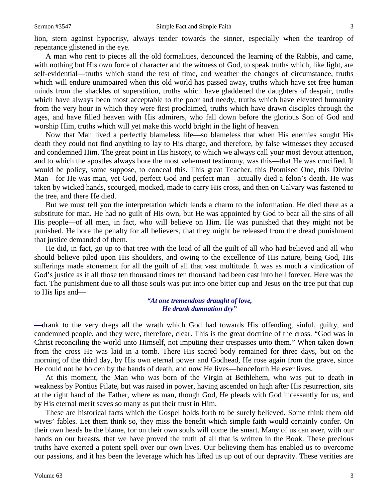lion, stern against hypocrisy, always tender towards the sinner, especially when the teardrop of repentance glistened in the eye.

A man who rent to pieces all the old formalities, denounced the learning of the Rabbis, and came, with nothing but His own force of character and the witness of God, to speak truths which, like light, are self-evidential—truths which stand the test of time, and weather the changes of circumstance, truths which will endure unimpaired when this old world has passed away, truths which have set free human minds from the shackles of superstition, truths which have gladdened the daughters of despair, truths which have always been most acceptable to the poor and needy, truths which have elevated humanity from the very hour in which they were first proclaimed, truths which have drawn disciples through the ages, and have filled heaven with His admirers, who fall down before the glorious Son of God and worship Him, truths which will yet make this world bright in the light of heaven.

Now that Man lived a perfectly blameless life—so blameless that when His enemies sought His death they could not find anything to lay to His charge, and therefore, by false witnesses they accused and condemned Him. The great point in His history, to which we always call your most devout attention, and to which the apostles always bore the most vehement testimony, was this—that He was crucified. It would be policy, some suppose, to conceal this. This great Teacher, this Promised One, this Divine Man—for He was man, yet God, perfect God and perfect man—actually died a felon's death. He was taken by wicked hands, scourged, mocked, made to carry His cross, and then on Calvary was fastened to the tree, and there He died.

But we must tell you the interpretation which lends a charm to the information. He died there as a substitute for man. He had no guilt of His own, but He was appointed by God to bear all the sins of all His people—of all men, in fact, who will believe on Him. He was punished that they might not be punished. He bore the penalty for all believers, that they might be released from the dread punishment that justice demanded of them.

He did, in fact, go up to that tree with the load of all the guilt of all who had believed and all who should believe piled upon His shoulders, and owing to the excellence of His nature, being God, His sufferings made atonement for all the guilt of all that vast multitude. It was as much a vindication of God's justice as if all those ten thousand times ten thousand had been cast into hell forever. Here was the fact. The punishment due to all those souls was put into one bitter cup and Jesus on the tree put that cup to His lips and—

#### *"At one tremendous draught of love, He drank damnation dry"*

*—*drank to the very dregs all the wrath which God had towards His offending, sinful, guilty, and condemned people, and they were, therefore, clear. This is the great doctrine of the cross. "God was in Christ reconciling the world unto Himself, not imputing their trespasses unto them." When taken down from the cross He was laid in a tomb. There His sacred body remained for three days, but on the morning of the third day, by His own eternal power and Godhead, He rose again from the grave, since He could not be holden by the bands of death, and now He lives—henceforth He ever lives.

At this moment, the Man who was born of the Virgin at Bethlehem, who was put to death in weakness by Pontius Pilate, but was raised in power, having ascended on high after His resurrection, sits at the right hand of the Father, where as man, though God, He pleads with God incessantly for us, and by His eternal merit saves so many as put their trust in Him.

These are historical facts which the Gospel holds forth to be surely believed. Some think them old wives' fables. Let them think so, they miss the benefit which simple faith would certainly confer. On their own heads be the blame, for on their own souls will come the smart. Many of us can aver, with our hands on our breasts, that we have proved the truth of all that is written in the Book. These precious truths have exerted a potent spell over our own lives. Our believing them has enabled us to overcome our passions, and it has been the leverage which has lifted us up out of our depravity. These verities are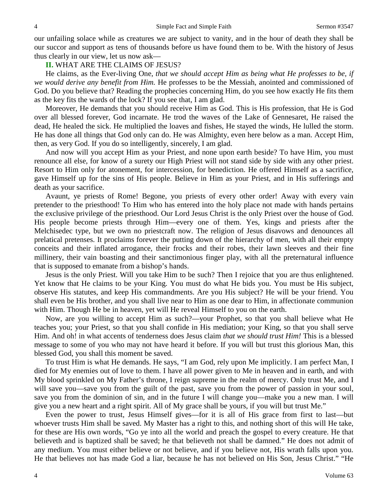our unfailing solace while as creatures we are subject to vanity, and in the hour of death they shall be our succor and support as tens of thousands before us have found them to be. With the history of Jesus thus clearly in our view, let us now ask—

## **II.** WHAT ARE THE CLAIMS OF JESUS?

He claims, as the Ever-living One, *that we should accept Him as being what He professes to be, if we would derive any benefit from Him.* He professes to be the Messiah, anointed and commissioned of God. Do you believe that? Reading the prophecies concerning Him, do you see how exactly He fits them as the key fits the wards of the lock? If you see that, I am glad.

Moreover, He demands that you should receive Him as God. This is His profession, that He is God over all blessed forever, God incarnate. He trod the waves of the Lake of Gennesaret, He raised the dead, He healed the sick. He multiplied the loaves and fishes, He stayed the winds, He lulled the storm. He has done all things that God only can do. He was Almighty, even here below as a man. Accept Him, then, as very God. If you do so intelligently, sincerely, I am glad.

And now will you accept Him as your Priest, and none upon earth beside? To have Him, you must renounce all else, for know of a surety our High Priest will not stand side by side with any other priest. Resort to Him only for atonement, for intercession, for benediction. He offered Himself as a sacrifice, gave Himself up for the sins of His people. Believe in Him as your Priest, and in His sufferings and death as your sacrifice.

Avaunt, ye priests of Rome! Begone, you priests of every other order! Away with every vain pretender to the priesthood! To Him who has entered into the holy place not made with hands pertains the exclusive privilege of the priesthood. Our Lord Jesus Christ is the only Priest over the house of God. His people become priests through Him—every one of them. Yes, kings and priests after the Melchisedec type, but we own no priestcraft now. The religion of Jesus disavows and denounces all prelatical pretenses. It proclaims forever the putting down of the hierarchy of men, with all their empty conceits and their inflated arrogance, their frocks and their robes, their lawn sleeves and their fine millinery, their vain boasting and their sanctimonious finger play, with all the preternatural influence that is supposed to emanate from a bishop's hands.

Jesus is the only Priest. Will you take Him to be such? Then I rejoice that you are thus enlightened. Yet know that He claims to be your King. You must do what He bids you. You must be His subject, observe His statutes, and keep His commandments. Are you His subject? He will be your friend. You shall even be His brother, and you shall live near to Him as one dear to Him, in affectionate communion with Him. Though He be in heaven, yet will He reveal Himself to you on the earth.

Now, are you willing to accept Him as such?—your Prophet, so that you shall believe what He teaches you; your Priest, so that you shall confide in His mediation; your King, so that you shall serve Him. And oh! in what accents of tenderness does Jesus claim *that we should trust Him!* This is a blessed message to some of you who may not have heard it before. If you will but trust this glorious Man, this blessed God, you shall this moment be saved.

To trust Him is what He demands. He says, "I am God, rely upon Me implicitly. I am perfect Man, I died for My enemies out of love to them. I have all power given to Me in heaven and in earth, and with My blood sprinkled on My Father's throne, I reign supreme in the realm of mercy. Only trust Me, and I will save you—save you from the guilt of the past, save you from the power of passion in your soul, save you from the dominion of sin, and in the future I will change you—make you a new man. I will give you a new heart and a right spirit. All of My grace shall be yours, if you will but trust Me."

Even the power to trust, Jesus Himself gives—for it is all of His grace from first to last—but whoever trusts Him shall be saved. My Master has a right to this, and nothing short of this will He take, for these are His own words, "Go ye into all the world and preach the gospel to every creature. He that believeth and is baptized shall be saved; he that believeth not shall be damned." He does not admit of any medium. You must either believe or not believe, and if you believe not, His wrath falls upon you. He that believes not has made God a liar, because he has not believed on His Son, Jesus Christ." "He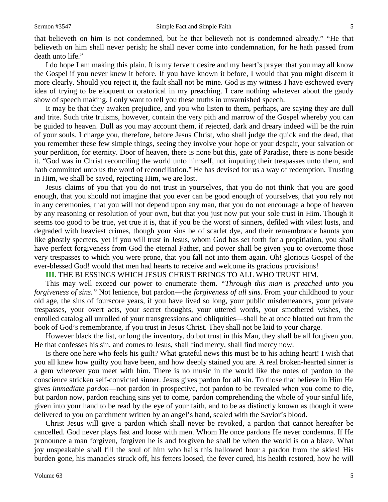that believeth on him is not condemned, but he that believeth not is condemned already." "He that believeth on him shall never perish; he shall never come into condemnation, for he hath passed from death unto life."

I do hope I am making this plain. It is my fervent desire and my heart's prayer that you may all know the Gospel if you never knew it before. If you have known it before, I would that you might discern it more clearly. Should you reject it, the fault shall not be mine. God is my witness I have eschewed every idea of trying to be eloquent or oratorical in my preaching. I care nothing whatever about the gaudy show of speech making. I only want to tell you these truths in unvarnished speech.

It may be that they awaken prejudice, and you who listen to them, perhaps, are saying they are dull and trite. Such trite truisms, however, contain the very pith and marrow of the Gospel whereby you can be guided to heaven. Dull as you may account them, if rejected, dark and dreary indeed will be the ruin of your souls. I charge you, therefore, before Jesus Christ, who shall judge the quick and the dead, that you remember these few simple things, seeing they involve your hope or your despair, your salvation or your perdition, for eternity. Door of heaven, there is none but this, gate of Paradise, there is none beside it. "God was in Christ reconciling the world unto himself, not imputing their trespasses unto them, and hath committed unto us the word of reconciliation." He has devised for us a way of redemption. Trusting in Him, we shall be saved, rejecting Him, we are lost.

Jesus claims of you that you do not trust in yourselves, that you do not think that you are good enough, that you should not imagine that you ever can be good enough of yourselves, that you rely not in any ceremonies, that you will not depend upon any man, that you do not encourage a hope of heaven by any reasoning or resolution of your own, but that you just now put your sole trust in Him. Though it seems too good to be true, yet true it is, that if you be the worst of sinners, defiled with vilest lusts, and degraded with heaviest crimes, though your sins be of scarlet dye, and their remembrance haunts you like ghostly specters, yet if you will trust in Jesus, whom God has set forth for a propitiation, you shall have perfect forgiveness from God the eternal Father, and power shall be given you to overcome those very trespasses to which you were prone, that you fall not into them again. Oh! glorious Gospel of the ever-blessed God! would that men had hearts to receive and welcome its gracious provisions!

#### **III.** THE BLESSINGS WHICH JESUS CHRIST BRINGS TO ALL WHO TRUST HIM.

This may well exceed our power to enumerate them. *"Through this man is preached unto you forgiveness of sins."* Not lenience, but pardon—the *forgiveness of all sins*. From your childhood to your old age, the sins of fourscore years, if you have lived so long, your public misdemeanors, your private trespasses, your overt acts, your secret thoughts, your uttered words, your smothered wishes, the enrolled catalog all unrolled of your transgressions and obliquities—shall be at once blotted out from the book of God's remembrance, if you trust in Jesus Christ. They shall not be laid to your charge.

However black the list, or long the inventory, do but trust in this Man, they shall be all forgiven you. He that confesses his sin, and comes to Jesus, shall find mercy, shall find mercy now.

Is there one here who feels his guilt? What grateful news this must be to his aching heart! I wish that you all knew how guilty you have been, and how deeply stained you are. A real broken-hearted sinner is a gem wherever you meet with him. There is no music in the world like the notes of pardon to the conscience stricken self-convicted sinner. Jesus gives pardon for all sin. To those that believe in Him He gives *immediate pardon*—not pardon in prospective, not pardon to be revealed when you come to die, but pardon now, pardon reaching sins yet to come, pardon comprehending the whole of your sinful life, given into your hand to be read by the eye of your faith, and to be as distinctly known as though it were delivered to you on parchment written by an angel's hand, sealed with the Savior's blood.

Christ Jesus will give a pardon which shall never be revoked, a pardon that cannot hereafter be cancelled. God never plays fast and loose with men. Whom He once pardons He never condemns. If He pronounce a man forgiven, forgiven he is and forgiven he shall be when the world is on a blaze. What joy unspeakable shall fill the soul of him who hails this hallowed hour a pardon from the skies! His burden gone, his manacles struck off, his fetters loosed, the fever cured, his health restored, how he will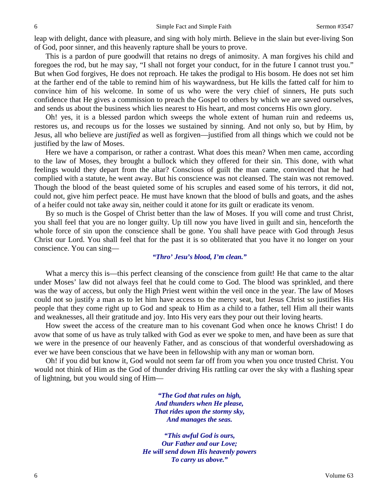leap with delight, dance with pleasure, and sing with holy mirth. Believe in the slain but ever-living Son of God, poor sinner, and this heavenly rapture shall be yours to prove.

This is a pardon of pure goodwill that retains no dregs of animosity. A man forgives his child and foregoes the rod, but he may say, "I shall not forget your conduct, for in the future I cannot trust you." But when God forgives, He does not reproach. He takes the prodigal to His bosom. He does not set him at the farther end of the table to remind him of his waywardness, but He kills the fatted calf for him to convince him of his welcome. In some of us who were the very chief of sinners, He puts such confidence that He gives a commission to preach the Gospel to others by which we are saved ourselves, and sends us about the business which lies nearest to His heart, and most concerns His own glory.

Oh! yes, it is a blessed pardon which sweeps the whole extent of human ruin and redeems us, restores us, and recoups us for the losses we sustained by sinning. And not only so, but by Him, by Jesus, all who believe are *justified* as well as forgiven—justified from all things which we could not be justified by the law of Moses.

Here we have a comparison, or rather a contrast. What does this mean? When men came, according to the law of Moses, they brought a bullock which they offered for their sin. This done, with what feelings would they depart from the altar? Conscious of guilt the man came, convinced that he had complied with a statute, he went away. But his conscience was not cleansed. The stain was not removed. Though the blood of the beast quieted some of his scruples and eased some of his terrors, it did not, could not, give him perfect peace. He must have known that the blood of bulls and goats, and the ashes of a heifer could not take away sin, neither could it atone for its guilt or eradicate its venom.

By so much is the Gospel of Christ better than the law of Moses. If you will come and trust Christ, you shall feel that you are no longer guilty. Up till now you have lived in guilt and sin, henceforth the whole force of sin upon the conscience shall be gone. You shall have peace with God through Jesus Christ our Lord. You shall feel that for the past it is so obliterated that you have it no longer on your conscience. You can sing—

#### *"Thro' Jesu's blood, I'm clean."*

What a mercy this is—this perfect cleansing of the conscience from guilt! He that came to the altar under Moses' law did not always feel that he could come to God. The blood was sprinkled, and there was the way of access, but only the High Priest went within the veil once in the year. The law of Moses could not so justify a man as to let him have access to the mercy seat, but Jesus Christ so justifies His people that they come right up to God and speak to Him as a child to a father, tell Him all their wants and weaknesses, all their gratitude and joy. Into His very ears they pour out their loving hearts.

How sweet the access of the creature man to his covenant God when once he knows Christ! I do avow that some of us have as truly talked with God as ever we spoke to men, and have been as sure that we were in the presence of our heavenly Father, and as conscious of that wonderful overshadowing as ever we have been conscious that we have been in fellowship with any man or woman born.

Oh! if you did but know it, God would not seem far off from you when you once trusted Christ. You would not think of Him as the God of thunder driving His rattling car over the sky with a flashing spear of lightning, but you would sing of Him—

> *"The God that rules on high, And thunders when He please, That rides upon the stormy sky, And manages the seas.*

*"This awful God is ours, Our Father and our Love; He will send down His heavenly powers To carry us above."*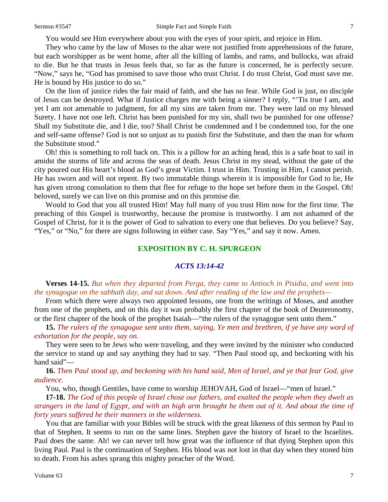You would see Him everywhere about you with the eyes of your spirit, and rejoice in Him.

They who came by the law of Moses to the altar were not justified from apprehensions of the future, but each worshipper as he went home, after all the killing of lambs, and rams, and bullocks, was afraid to die. But he that trusts in Jesus feels that, so far as the future is concerned, he is perfectly secure. "Now," says he, "God has promised to save those who trust Christ. I do trust Christ, God must save me. He is bound by His justice to do so."

On the lion of justice rides the fair maid of faith, and she has no fear. While God is just, no disciple of Jesus can be destroyed. What if Justice charges me with being a sinner? I reply, "'Tis true I am, and yet I am not amenable to judgment, for all my sins are taken from me. They were laid on my blessed Surety. I have not one left. Christ has been punished for my sin, shall two be punished for one offense? Shall my Substitute die, and I die, too? Shall Christ be condemned and I be condemned too, for the one and self-same offense? God is not so unjust as to punish first the Substitute, and then the man for whom the Substitute stood."

Oh! this is something to roll back on. This is a pillow for an aching head, this is a safe boat to sail in amidst the storms of life and across the seas of death. Jesus Christ in my stead, without the gate of the city poured out His heart's blood as God's great Victim. I trust in Him. Trusting in Him, I cannot perish. He has sworn and will not repent. By two immutable things wherein it is impossible for God to lie, He has given strong consolation to them that flee for refuge to the hope set before them in the Gospel. Oh! beloved, surely we can live on this promise and on this promise die.

Would to God that you all trusted Him! May full many of you trust Him now for the first time. The preaching of this Gospel is trustworthy, because the promise is trustworthy. I am not ashamed of the Gospel of Christ, for it is the power of God to salvation to every one that believes. Do you believe? Say, "Yes," or "No," for there are signs following in either case. Say "Yes," and say it now. Amen.

## **EXPOSITION BY C. H. SPURGEON**

#### *ACTS 13:14-42*

**Verses 14-15.** *But when they departed from Perga, they came to Antioch in Pisidia, and went into the synagogue on the sabbath day, and sat down. And after reading of the law and the prophets—*

From which there were always two appointed lessons, one from the writings of Moses, and another from one of the prophets, and on this day it was probably the first chapter of the book of Deuteronomy, or the first chapter of the book of the prophet Isaiah—"the rulers of the synagogue sent unto them."

**15.** *The rulers of the synagogue sent unto them, saying, Ye men and brethren, if ye have any word of exhortation for the people, say on.*

They were seen to be Jews who were traveling, and they were invited by the minister who conducted the service to stand up and say anything they had to say. "Then Paul stood up, and beckoning with his hand said"—

**16.** *Then Paul stood up, and beckoning with his hand said, Men of Israel, and ye that fear God, give audience.*

You, who, though Gentiles, have come to worship JEHOVAH, God of Israel—"men of Israel."

**17-18.** *The God of this people of Israel chose our fathers, and exalted the people when they dwelt as strangers in the land of Egypt, and with an high arm brought he them out of it. And about the time of forty years suffered he their manners in the wilderness.* 

You that are familiar with your Bibles will be struck with the great likeness of this sermon by Paul to that of Stephen. It seems to run on the same lines. Stephen gave the history of Israel to the Israelites. Paul does the same. Ah! we can never tell how great was the influence of that dying Stephen upon this living Paul. Paul is the continuation of Stephen. His blood was not lost in that day when they stoned him to death. From his ashes sprang this mighty preacher of the Word.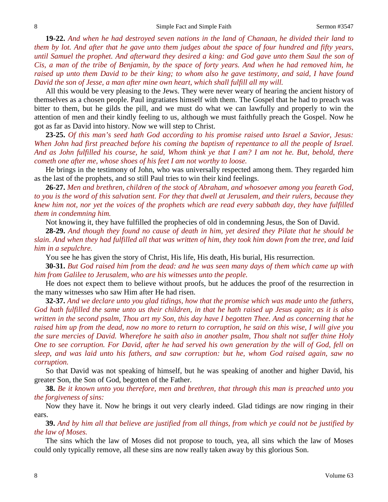**19-22.** *And when he had destroyed seven nations in the land of Chanaan, he divided their land to them by lot. And after that he gave unto them judges about the space of four hundred and fifty years, until Samuel the prophet. And afterward they desired a king: and God gave unto them Saul the son of Cis, a man of the tribe of Benjamin, by the space of forty years. And when he had removed him, he raised up unto them David to be their king; to whom also he gave testimony, and said, I have found David the son of Jesse, a man after mine own heart, which shall fulfill all my will.*

All this would be very pleasing to the Jews. They were never weary of hearing the ancient history of themselves as a chosen people. Paul ingratiates himself with them. The Gospel that he had to preach was bitter to them, but he gilds the pill, and we must do what we can lawfully and properly to win the attention of men and their kindly feeling to us, although we must faithfully preach the Gospel. Now he got as far as David into history. Now we will step to Christ.

**23-25.** *Of this man's seed hath God according to his promise raised unto Israel a Savior, Jesus: When John had first preached before his coming the baptism of repentance to all the people of Israel. And as John fulfilled his course, he said, Whom think ye that I am? I am not he. But, behold, there cometh one after me, whose shoes of his feet I am not worthy to loose.*

He brings in the testimony of John, who was universally respected among them. They regarded him as the last of the prophets, and so still Paul tries to win their kind feelings.

**26-27.** *Men and brethren, children of the stock of Abraham, and whosoever among you feareth God, to you is the word of this salvation sent. For they that dwell at Jerusalem, and their rulers, because they knew him not, nor yet the voices of the prophets which are read every sabbath day, they have fulfilled them in condemning him.*

Not knowing it, they have fulfilled the prophecies of old in condemning Jesus, the Son of David.

**28-29.** *And though they found no cause of death in him, yet desired they Pilate that he should be slain. And when they had fulfilled all that was written of him, they took him down from the tree, and laid him in a sepulchre.* 

You see he has given the story of Christ, His life, His death, His burial, His resurrection.

**30-31.** *But God raised him from the dead: and he was seen many days of them which came up with him from Galilee to Jerusalem, who are his witnesses unto the people.*

He does not expect them to believe without proofs, but he adduces the proof of the resurrection in the many witnesses who saw Him after He had risen.

**32-37.** *And we declare unto you glad tidings, how that the promise which was made unto the fathers, God hath fulfilled the same unto us their children, in that he hath raised up Jesus again; as it is also written in the second psalm, Thou art my Son, this day have I begotten Thee. And as concerning that he raised him up from the dead, now no more to return to corruption, he said on this wise, I will give you the sure mercies of David. Wherefore he saith also in another psalm, Thou shalt not suffer thine Holy One to see corruption. For David, after he had served his own generation by the will of God, fell on sleep, and was laid unto his fathers, and saw corruption: but he, whom God raised again, saw no corruption.* 

So that David was not speaking of himself, but he was speaking of another and higher David, his greater Son, the Son of God, begotten of the Father.

**38.** *Be it known unto you therefore, men and brethren, that through this man is preached unto you the forgiveness of sins:*

Now they have it. Now he brings it out very clearly indeed. Glad tidings are now ringing in their ears.

**39.** *And by him all that believe are justified from all things, from which ye could not be justified by the law of Moses.*

The sins which the law of Moses did not propose to touch, yea, all sins which the law of Moses could only typically remove, all these sins are now really taken away by this glorious Son.